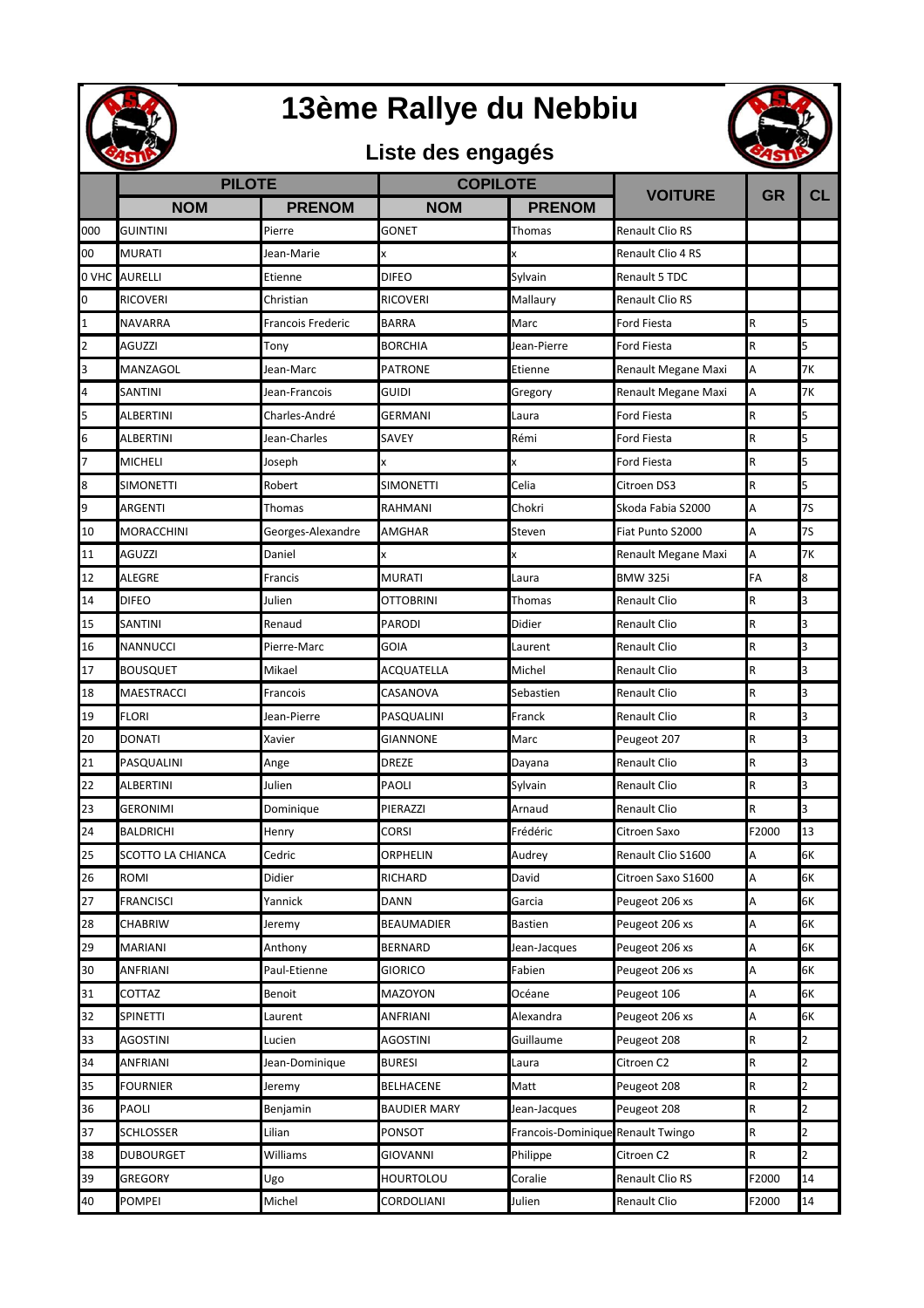

## **13ème Rallye du Nebbiu**

## **Liste des engagés**



|     | <b>PILOTE</b>        |                   | <b>COPILOTE</b>     |                                   |                        | <b>GR</b> | <b>CL</b> |
|-----|----------------------|-------------------|---------------------|-----------------------------------|------------------------|-----------|-----------|
|     | <b>NOM</b>           | <b>PRENOM</b>     | <b>NOM</b>          | <b>PRENOM</b>                     | <b>VOITURE</b>         |           |           |
| 000 | <b>GUINTINI</b>      | Pierre            | GONET               | Thomas                            | <b>Renault Clio RS</b> |           |           |
| 00  | <b>MURATI</b>        | Jean-Marie        |                     | x                                 | Renault Clio 4 RS      |           |           |
|     | <b>0 VHC AURELLI</b> | Etienne           | <b>DIFEO</b>        | Sylvain                           | Renault 5 TDC          |           |           |
| 0   | <b>RICOVERI</b>      | Christian         | <b>RICOVERI</b>     | Mallaury                          | <b>Renault Clio RS</b> |           |           |
| 1   | NAVARRA              | Francois Frederic | BARRA               | Marc                              | Ford Fiesta            | R         | 5         |
| 2   | <b>AGUZZI</b>        | Tony              | <b>BORCHIA</b>      | Jean-Pierre                       | Ford Fiesta            | R         | 5         |
| 3   | MANZAGOL             | Jean-Marc         | PATRONE             | Etienne                           | Renault Megane Maxi    | Α         | 7К        |
| 4   | SANTINI              | Jean-Francois     | GUIDI               | Gregory                           | Renault Megane Maxi    | Α         | <b>7K</b> |
| 5   | ALBERTINI            | Charles-André     | GERMANI             | Laura                             | Ford Fiesta            | R         | 5         |
| 6   | ALBERTINI            | Jean-Charles      | SAVEY               | Rémi                              | Ford Fiesta            | R         | 5         |
| 7   | <b>MICHELI</b>       | Joseph            |                     | x                                 | Ford Fiesta            | R         | 5         |
| 8   | <b>SIMONETTI</b>     | Robert            | SIMONETTI           | Celia                             | Citroen DS3            | R         | 5         |
| 9   | ARGENTI              | Thomas            | RAHMANI             | Chokri                            | Skoda Fabia S2000      | А         | <b>7S</b> |
| 10  | MORACCHINI           | Georges-Alexandre | AMGHAR              | Steven                            | Fiat Punto S2000       | Α         | <b>7S</b> |
| 11  | <b>AGUZZI</b>        | Daniel            |                     | x                                 | Renault Megane Maxi    | Α         | <b>7K</b> |
| 12  | <b>ALEGRE</b>        | Francis           | MURATI              | Laura                             | <b>BMW 325i</b>        | FA        | 8         |
| 14  | <b>DIFEO</b>         | Julien            | OTTOBRINI           | Thomas                            | Renault Clio           | R         | 3         |
| 15  | SANTINI              | Renaud            | PARODI              | Didier                            | Renault Clio           | R         | 3         |
| 16  | NANNUCCI             | Pierre-Marc       | GOIA                | Laurent                           | Renault Clio           | R         | 3         |
| 17  | <b>BOUSQUET</b>      | Mikael            | ACQUATELLA          | Michel                            | <b>Renault Clio</b>    | R         | 3         |
| 18  | MAESTRACCI           | Francois          | CASANOVA            | Sebastien                         | Renault Clio           | R         | 3         |
| 19  | <b>FLORI</b>         | Jean-Pierre       | PASQUALINI          | Franck                            | Renault Clio           | R         | 3         |
| 20  | <b>DONATI</b>        | Xavier            | GIANNONE            | Marc                              | Peugeot 207            | R         | 3         |
| 21  | PASQUALINI           | Ange              | DREZE               | Dayana                            | Renault Clio           | R         | 3         |
| 22  | ALBERTINI            | Julien            | PAOLI               | Sylvain                           | Renault Clio           | R         | 3         |
| 23  | <b>GERONIMI</b>      | Dominique         | PIERAZZI            | Arnaud                            | Renault Clio           | R         | 3         |
| 24  | <b>BALDRICHI</b>     | Henry             | CORSI               | Frédéric                          | Citroen Saxo           | F2000     | 13        |
| 25  | SCOTTO LA CHIANCA    | Cedric            | ORPHELIN            | Audrey                            | Renault Clio S1600     | Α         | 6K        |
| 26  | <b>ROMI</b>          | Didier            | <b>RICHARD</b>      | David                             | Citroen Saxo S1600     | A         | 6K        |
| 27  | <b>FRANCISCI</b>     | Yannick           | DANN                | Garcia                            | Peugeot 206 xs         | Α         | 6K        |
| 28  | CHABRIW              | Jeremy            | <b>BEAUMADIER</b>   | Bastien                           | Peugeot 206 xs         | Α         | 6K        |
| 29  | MARIANI              | Anthony           | BERNARD             | Jean-Jacques                      | Peugeot 206 xs         | Α         | 6K        |
| 30  | ANFRIANI             | Paul-Etienne      | <b>GIORICO</b>      | Fabien                            | Peugeot 206 xs         | А         | 6K        |
| 31  | COTTAZ               | Benoit            | MAZOYON             | Océane                            | Peugeot 106            | Α         | 6K        |
| 32  | SPINETTI             | Laurent           | ANFRIANI            | Alexandra                         | Peugeot 206 xs         | А         | 6K        |
| 33  | AGOSTINI             | ucien.            | AGOSTINI            | Guillaume                         | Peugeot 208            | R         | 2         |
| 34  | ANFRIANI             | lean-Dominique    | <b>BURESI</b>       | Laura                             | Citroen C2             | R         | 2         |
| 35  | <b>FOURNIER</b>      | Jeremy            | BELHACENE           | Matt                              | Peugeot 208            | R         | 2         |
| 36  | PAOLI                | Benjamin          | <b>BAUDIER MARY</b> | Jean-Jacques                      | Peugeot 208            | R         | 2         |
| 37  | <b>SCHLOSSER</b>     | Lilian            | PONSOT              | Francois-Dominique Renault Twingo |                        | R         | 2         |
| 38  | DUBOURGET            | Williams          | GIOVANNI            | Philippe                          | Citroen C2             | R         | 2         |
| 39  | GREGORY              | Ugo               | HOURTOLOU           | Coralie                           | Renault Clio RS        | F2000     | 14        |
| 40  | POMPEI               | Michel            | CORDOLIANI          | Julien                            | Renault Clio           | F2000     | 14        |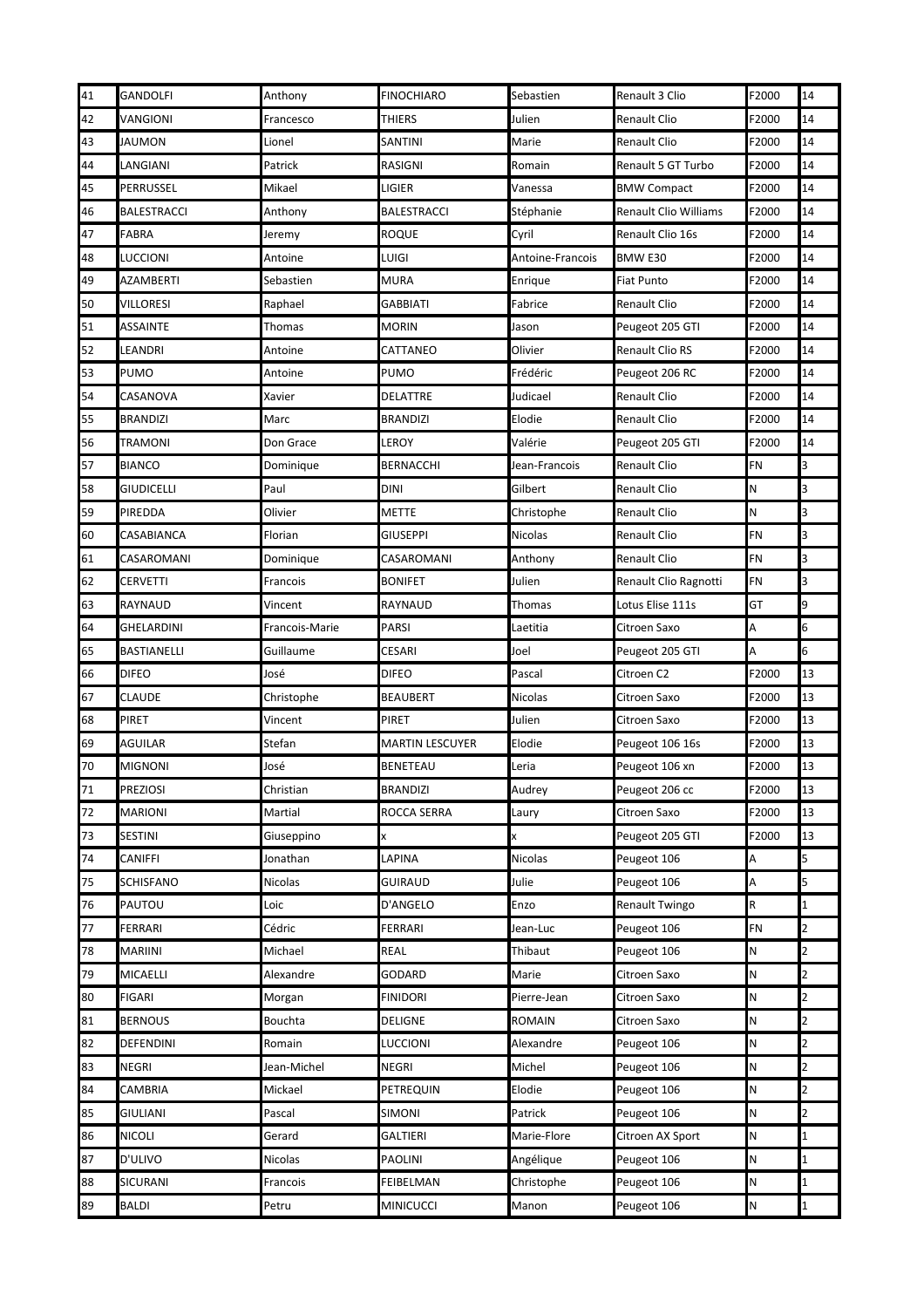| 41 | <b>GANDOLFI</b>    | Anthony        | <b>FINOCHIARO</b> | Sebastien        | Renault 3 Clio               | F2000     | 14                      |
|----|--------------------|----------------|-------------------|------------------|------------------------------|-----------|-------------------------|
| 42 | VANGIONI           | Francesco      | THIERS            | Julien           | <b>Renault Clio</b>          | F2000     | 14                      |
| 43 | <b>JAUMON</b>      | Lionel         | SANTINI           | Marie            | <b>Renault Clio</b>          | F2000     | 14                      |
| 44 | LANGIANI           | Patrick        | RASIGNI           | Romain           | Renault 5 GT Turbo           | F2000     | 14                      |
| 45 | PERRUSSEL          | Mikael         | ligier            | Vanessa          | <b>BMW Compact</b>           | F2000     | 14                      |
| 46 | <b>BALESTRACCI</b> | Anthony        | BALESTRACCI       | Stéphanie        | <b>Renault Clio Williams</b> | F2000     | 14                      |
| 47 | FABRA              | Jeremy         | roque             | Cyril            | Renault Clio 16s             | F2000     | 14                      |
| 48 | LUCCIONI           | Antoine        | LUIGI             | Antoine-Francois | BMW E30                      | F2000     | 14                      |
| 49 | AZAMBERTI          | Sebastien      | MURA              | Enrique          | <b>Fiat Punto</b>            | F2000     | 14                      |
| 50 | VILLORESI          | Raphael        | GABBIATI          | Fabrice          | <b>Renault Clio</b>          | F2000     | 14                      |
| 51 | <b>ASSAINTE</b>    | Thomas         | MORIN             | Jason            | Peugeot 205 GTI              | F2000     | 14                      |
| 52 | LEANDRI            | Antoine        | CATTANEO          | Olivier          | Renault Clio RS              | F2000     | 14                      |
| 53 | PUMO               | Antoine        | PUMO              | Frédéric         | Peugeot 206 RC               | F2000     | 14                      |
| 54 | CASANOVA           | Xavier         | DELATTRE          | Judicael         | <b>Renault Clio</b>          | F2000     | 14                      |
| 55 | BRANDIZI           | Marc           | BRANDIZI          | Elodie           | <b>Renault Clio</b>          | F2000     | 14                      |
| 56 | TRAMONI            | Don Grace      | LEROY             | Valérie          | Peugeot 205 GTI              | F2000     | 14                      |
| 57 | BIANCO             | Dominique      | BERNACCHI         | Jean-Francois    | <b>Renault Clio</b>          | FN        | 3                       |
| 58 | <b>GIUDICELLI</b>  | Paul           | DINI              | Gilbert          | <b>Renault Clio</b>          | N         | 3                       |
| 59 | PIREDDA            | Olivier        | <b>METTE</b>      | Christophe       | <b>Renault Clio</b>          | N         | 3                       |
| 60 | CASABIANCA         | Florian        | GIUSEPPI          | Nicolas          | <b>Renault Clio</b>          | <b>FN</b> | 3                       |
| 61 | CASAROMANI         | Dominique      | CASAROMANI        | Anthony          | Renault Clio                 | <b>FN</b> | 3                       |
| 62 | CERVETTI           | Francois       | <b>BONIFET</b>    | Julien           | Renault Clio Ragnotti        | FN        | 3                       |
| 63 | RAYNAUD            | Vincent        | RAYNAUD           | Thomas           | Lotus Elise 111s             | GT        | 9                       |
| 64 | <b>GHELARDINI</b>  | Francois-Marie | PARSI             | Laetitia         | Citroen Saxo                 | Α         | 6                       |
| 65 | BASTIANELLI        | Guillaume      | CESARI            | Joel             | Peugeot 205 GTI              | Α         | 6                       |
| 66 | <b>DIFEO</b>       | José           | <b>DIFEO</b>      | Pascal           | Citroen C2                   | F2000     | 13                      |
| 67 | CLAUDE             | Christophe     | BEAUBERT          | Nicolas          | Citroen Saxo                 | F2000     | 13                      |
| 68 | <b>PIRET</b>       | Vincent        | <b>PIRET</b>      | Julien           | Citroen Saxo                 | F2000     | 13                      |
| 69 | AGUILAR            | Stefan         | MARTIN LESCUYER   | Elodie           | Peugeot 106 16s              | F2000     | 13                      |
| 70 | <b>MIGNONI</b>     | José           | BENETEAU          | Leria            | Peugeot 106 xn               | F2000     | 13                      |
| 71 | <b>PREZIOSI</b>    | Christian      | <b>BRANDIZI</b>   | Audrey           | Peugeot 206 cc               | F2000     | 13                      |
| 72 | <b>MARIONI</b>     | Martial        | ROCCA SERRA       | Laury            | Citroen Saxo                 | F2000     | 13                      |
| 73 | <b>SESTINI</b>     | Giuseppino     | x                 | X                | Peugeot 205 GTI              | F2000     | 13                      |
| 74 | CANIFFI            | Jonathan       | LAPINA            | Nicolas          | Peugeot 106                  | Α         | 5                       |
| 75 | <b>SCHISFANO</b>   | Nicolas        | GUIRAUD           | Julie            | Peugeot 106                  | A         | 5                       |
| 76 | PAUTOU             | Loic           | D'ANGELO          | Enzo             | Renault Twingo               | R         | 1                       |
| 77 | FERRARI            | Cédric         | FERRARI           | Jean-Luc         | Peugeot 106                  | FN        | 2                       |
| 78 | MARIINI            | Michael        | REAL              | Thibaut          | Peugeot 106                  | N         | 2                       |
| 79 | <b>MICAELLI</b>    | Alexandre      | GODARD            | Marie            | Citroen Saxo                 | N         | $\overline{2}$          |
| 80 | FIGARI             | Morgan         | FINIDORI          | Pierre-Jean      | Citroen Saxo                 | N         | $\overline{\mathbf{c}}$ |
| 81 | <b>BERNOUS</b>     | Bouchta        | DELIGNE           | <b>ROMAIN</b>    | Citroen Saxo                 | N         | $\overline{\mathbf{c}}$ |
| 82 | DEFENDINI          | Romain         | LUCCIONI          | Alexandre        | Peugeot 106                  | N         | $\overline{2}$          |
| 83 | <b>NEGRI</b>       | Jean-Michel    | NEGRI             | Michel           | Peugeot 106                  | N         | 2                       |
| 84 | CAMBRIA            | Mickael        | PETREQUIN         | Elodie           | Peugeot 106                  | N         | 2                       |
| 85 | GIULIANI           | Pascal         | <b>SIMONI</b>     | Patrick          | Peugeot 106                  | N         | 2                       |
| 86 | NICOLI             | Gerard         | GALTIERI          | Marie-Flore      | Citroen AX Sport             | N         | 1                       |
| 87 | D'ULIVO            | Nicolas        | PAOLINI           | Angélique        | Peugeot 106                  | N         | 1                       |
| 88 | SICURANI           | Francois       | FEIBELMAN         | Christophe       | Peugeot 106                  | N         | 1                       |
| 89 | <b>BALDI</b>       | Petru          | <b>MINICUCCI</b>  | Manon            | Peugeot 106                  | N         | 1                       |